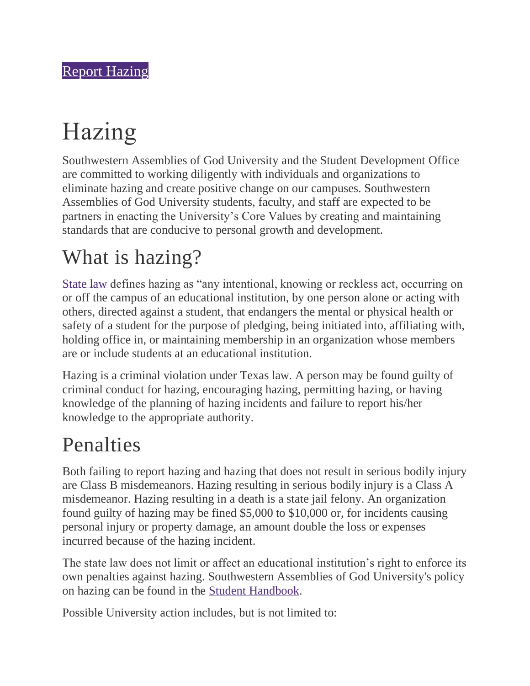# Hazing

Southwestern Assemblies of God University and the Student Development Office are committed to working diligently with individuals and organizations to eliminate hazing and create positive change on our campuses. Southwestern Assemblies of God University students, faculty, and staff are expected to be partners in enacting the University's Core Values by creating and maintaining standards that are conducive to personal growth and development.

#### What is hazing?

[State law](https://www.tarleton.edu/judicial/documents/NEW-TEXAS-HAZING-LAW.pdf) defines hazing as "any intentional, knowing or reckless act, occurring on or off the campus of an educational institution, by one person alone or acting with others, directed against a student, that endangers the mental or physical health or safety of a student for the purpose of pledging, being initiated into, affiliating with, holding office in, or maintaining membership in an organization whose members are or include students at an educational institution.

Hazing is a criminal violation under Texas law. A person may be found guilty of criminal conduct for hazing, encouraging hazing, permitting hazing, or having knowledge of the planning of hazing incidents and failure to report his/her knowledge to the appropriate authority.

#### Penalties

Both failing to report hazing and hazing that does not result in serious bodily injury are Class B misdemeanors. Hazing resulting in serious bodily injury is a Class A misdemeanor. Hazing resulting in a death is a state jail felony. An organization found guilty of hazing may be fined \$5,000 to \$10,000 or, for incidents causing personal injury or property damage, an amount double the loss or expenses incurred because of the hazing incident.

The state law does not limit or affect an educational institution's right to enforce its own penalties against hazing. Southwestern Assemblies of God University's policy on hazing can be found in the [Student Handbook.](https://sagu.edu/handbook)

Possible University action includes, but is not limited to: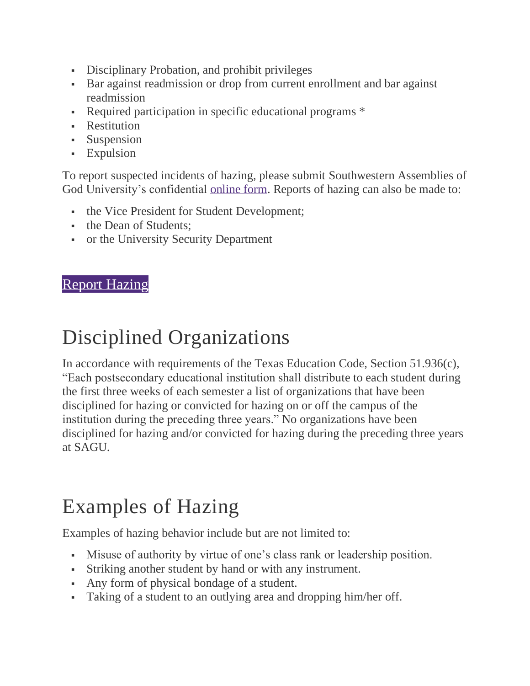- **•** Disciplinary Probation, and prohibit privileges
- Bar against readmission or drop from current enrollment and bar against readmission
- Required participation in specific educational programs \*
- **•** Restitution
- Suspension
- **Expulsion**

To report suspected incidents of hazing, please submit Southwestern Assemblies of God University's confidential [online form.](https://www.cognitoforms.com/SAGU1/HazingIncidentReportingForm) Reports of hazing can also be made to:

- the Vice President for Student Development;
- the Dean of Students:
- or the University Security Department

#### [Report Hazing](https://www.cognitoforms.com/SAGU1/HazingIncidentReportingForm)

#### Disciplined Organizations

In accordance with requirements of the Texas Education Code, Section 51.936(c), "Each postsecondary educational institution shall distribute to each student during the first three weeks of each semester a list of organizations that have been disciplined for hazing or convicted for hazing on or off the campus of the institution during the preceding three years." No organizations have been disciplined for hazing and/or convicted for hazing during the preceding three years at SAGU.

#### Examples of Hazing

Examples of hazing behavior include but are not limited to:

- Misuse of authority by virtue of one's class rank or leadership position.
- Striking another student by hand or with any instrument.
- Any form of physical bondage of a student.
- Taking of a student to an outlying area and dropping him/her off.